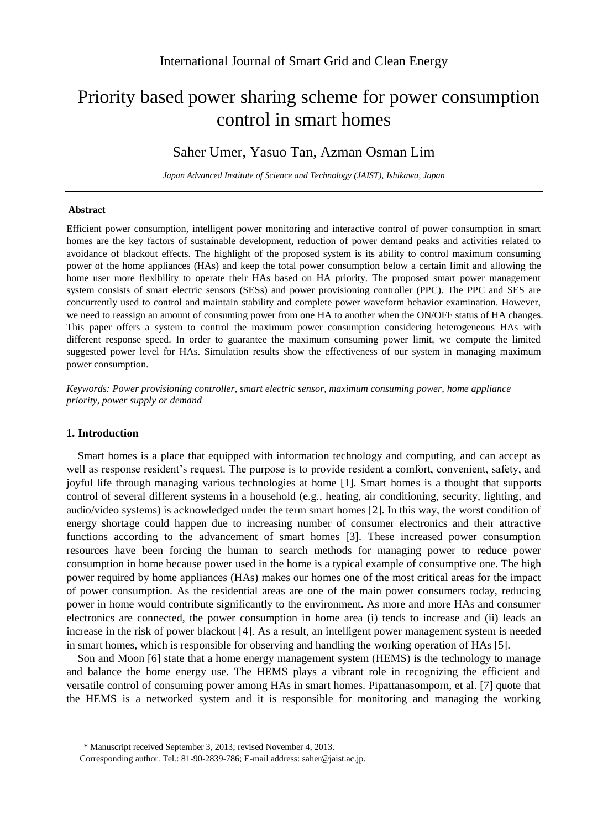# Priority based power sharing scheme for power consumption control in smart homes

# Saher Umer, Yasuo Tan, Azman Osman Lim

*Japan Advanced Institute of Science and Technology (JAIST), Ishikawa, Japan*

#### **Abstract**

Efficient power consumption, intelligent power monitoring and interactive control of power consumption in smart homes are the key factors of sustainable development, reduction of power demand peaks and activities related to avoidance of blackout effects. The highlight of the proposed system is its ability to control maximum consuming power of the home appliances (HAs) and keep the total power consumption below a certain limit and allowing the home user more flexibility to operate their HAs based on HA priority. The proposed smart power management system consists of smart electric sensors (SESs) and power provisioning controller (PPC). The PPC and SES are concurrently used to control and maintain stability and complete power waveform behavior examination. However, we need to reassign an amount of consuming power from one HA to another when the ON/OFF status of HA changes. This paper offers a system to control the maximum power consumption considering heterogeneous HAs with different response speed. In order to guarantee the maximum consuming power limit, we compute the limited suggested power level for HAs. Simulation results show the effectiveness of our system in managing maximum power consumption.

*Keywords: Power provisioning controller, smart electric sensor, maximum consuming power, home appliance priority, power supply or demand*

## **1. Introduction**

Smart homes is a place that equipped with information technology and computing, and can accept as well as response resident's request. The purpose is to provide resident a comfort, convenient, safety, and joyful life through managing various technologies at home [1]. Smart homes is a thought that supports control of several different systems in a household (e.g., heating, air conditioning, security, lighting, and audio/video systems) is acknowledged under the term smart homes [2]. In this way, the worst condition of energy shortage could happen due to increasing number of consumer electronics and their attractive functions according to the advancement of smart homes [3]. These increased power consumption resources have been forcing the human to search methods for managing power to reduce power consumption in home because power used in the home is a typical example of consumptive one. The high power required by home appliances (HAs) makes our homes one of the most critical areas for the impact of power consumption. As the residential areas are one of the main power consumers today, reducing power in home would contribute significantly to the environment. As more and more HAs and consumer electronics are connected, the power consumption in home area (i) tends to increase and (ii) leads an increase in the risk of power blackout [4]. As a result, an intelligent power management system is needed in smart homes, which is responsible for observing and handling the working operation of HAs [5].

Son and Moon [6] state that a home energy management system (HEMS) is the technology to manage and balance the home energy use. The HEMS plays a vibrant role in recognizing the efficient and versatile control of consuming power among HAs in smart homes. Pipattanasomporn, et al. [7] quote that the HEMS is a networked system and it is responsible for monitoring and managing the working

<sup>\*</sup> Manuscript received September 3, 2013; revised November 4, 2013.

Corresponding author. Tel.: 81-90-2839-786; E-mail address: saher@jaist.ac.jp.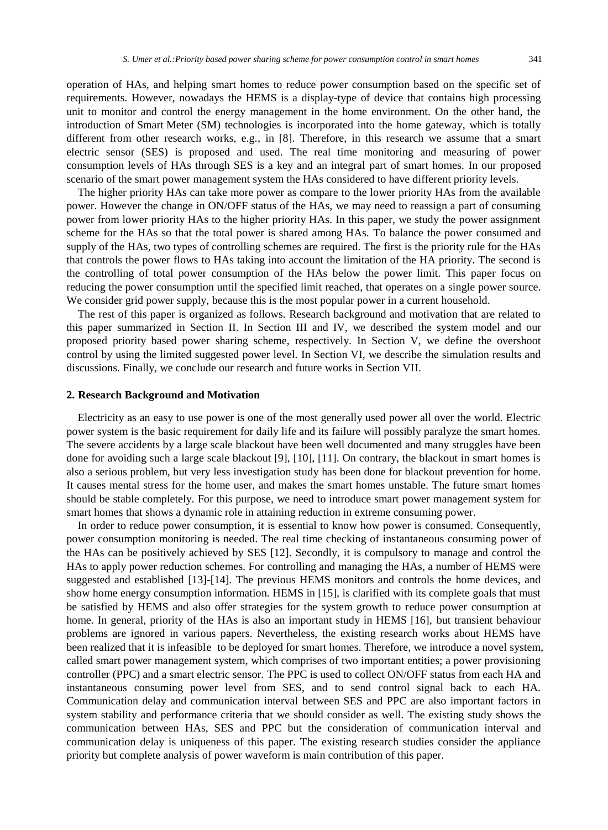operation of HAs, and helping smart homes to reduce power consumption based on the specific set of requirements. However, nowadays the HEMS is a display-type of device that contains high processing unit to monitor and control the energy management in the home environment. On the other hand, the introduction of Smart Meter (SM) technologies is incorporated into the home gateway, which is totally different from other research works, e.g., in [8]. Therefore, in this research we assume that a smart electric sensor (SES) is proposed and used. The real time monitoring and measuring of power consumption levels of HAs through SES is a key and an integral part of smart homes. In our proposed scenario of the smart power management system the HAs considered to have different priority levels.

The higher priority HAs can take more power as compare to the lower priority HAs from the available power. However the change in ON/OFF status of the HAs, we may need to reassign a part of consuming power from lower priority HAs to the higher priority HAs. In this paper, we study the power assignment scheme for the HAs so that the total power is shared among HAs. To balance the power consumed and supply of the HAs, two types of controlling schemes are required. The first is the priority rule for the HAs that controls the power flows to HAs taking into account the limitation of the HA priority. The second is the controlling of total power consumption of the HAs below the power limit. This paper focus on reducing the power consumption until the specified limit reached, that operates on a single power source. We consider grid power supply, because this is the most popular power in a current household.

The rest of this paper is organized as follows. Research background and motivation that are related to this paper summarized in Section II. In Section III and IV, we described the system model and our proposed priority based power sharing scheme, respectively. In Section V, we define the overshoot control by using the limited suggested power level. In Section VI, we describe the simulation results and discussions. Finally, we conclude our research and future works in Section VII.

#### **2. Research Background and Motivation**

Electricity as an easy to use power is one of the most generally used power all over the world. Electric power system is the basic requirement for daily life and its failure will possibly paralyze the smart homes. The severe accidents by a large scale blackout have been well documented and many struggles have been done for avoiding such a large scale blackout [9], [10], [11]. On contrary, the blackout in smart homes is also a serious problem, but very less investigation study has been done for blackout prevention for home. It causes mental stress for the home user, and makes the smart homes unstable. The future smart homes should be stable completely. For this purpose, we need to introduce smart power management system for smart homes that shows a dynamic role in attaining reduction in extreme consuming power.

In order to reduce power consumption, it is essential to know how power is consumed. Consequently, power consumption monitoring is needed. The real time checking of instantaneous consuming power of the HAs can be positively achieved by SES [12]. Secondly, it is compulsory to manage and control the HAs to apply power reduction schemes. For controlling and managing the HAs, a number of HEMS were suggested and established [13]-[14]. The previous HEMS monitors and controls the home devices, and show home energy consumption information. HEMS in [15], is clarified with its complete goals that must be satisfied by HEMS and also offer strategies for the system growth to reduce power consumption at home. In general, priority of the HAs is also an important study in HEMS [16], but transient behaviour problems are ignored in various papers. Nevertheless, the existing research works about HEMS have been realized that it is infeasibl e to be deployed for smart homes. Therefore, we introduce a novel system, called smart power management system, which comprises of two important entities; a power provisioning controller (PPC) and a smart electric sensor. The PPC is used to collect ON/OFF status from each HA and instantaneous consuming power level from SES, and to send control signal back to each HA. Communication delay and communication interval between SES and PPC are also important factors in system stability and performance criteria that we should consider as well. The existing study shows the communication between HAs, SES and PPC but the consideration of communication interval and communication delay is uniqueness of this paper. The existing research studies consider the appliance priority but complete analysis of power waveform is main contribution of this paper.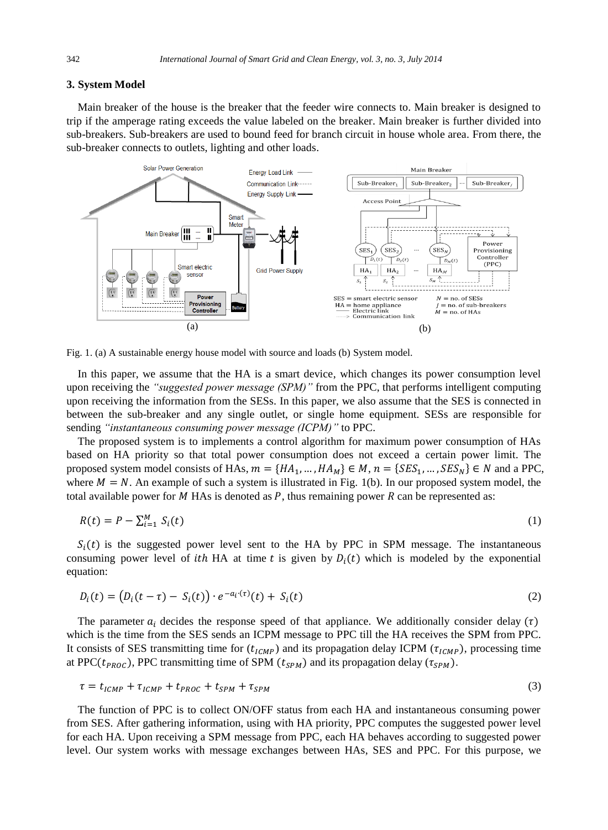#### **3. System Model**

Main breaker of the house is the breaker that the feeder wire connects to. Main breaker is designed to trip if the amperage rating exceeds the value labeled on the breaker. Main breaker is further divided into sub-breakers. Sub-breakers are used to bound feed for branch circuit in house whole area. From there, the sub-breaker connects to outlets, lighting and other loads.



Fig. 1. (a) A sustainable energy house model with source and loads (b) System model.

In this paper, we assume that the HA is a smart device, which changes its power consumption level upon receiving the *"suggested power message (SPM)"* from the PPC, that performs intelligent computing upon receiving the information from the SESs. In this paper, we also assume that the SES is connected in between the sub-breaker and any single outlet, or single home equipment. SESs are responsible for sending *"instantaneous consuming power message (ICPM)"* to PPC.

The proposed system is to implements a control algorithm for maximum power consumption of HAs based on HA priority so that total power consumption does not exceed a certain power limit. The proposed system model consists of HAs,  $m = \{HA_1, ..., HA_M\} \in M$ ,  $n = \{SES_1, ..., SES_N\} \in N$  and a PPC, where  $M = N$ . An example of such a system is illustrated in Fig. 1(b). In our proposed system model, the total available power for M HAs is denoted as  $P$ , thus remaining power  $R$  can be represented as:

$$
R(t) = P - \sum_{i=1}^{M} S_i(t) \tag{1}
$$

 $S_i(t)$  is the suggested power level sent to the HA by PPC in SPM message. The instantaneous consuming power level of ith HA at time t is given by  $D_i(t)$  which is modeled by the exponential equation:

$$
D_i(t) = (D_i(t - \tau) - S_i(t)) \cdot e^{-a_i(\tau)}(t) + S_i(t)
$$
\n(2)

The parameter  $a_i$  decides the response speed of that appliance. We additionally consider delay  $(\tau)$ which is the time from the SES sends an ICPM message to PPC till the HA receives the SPM from PPC. It consists of SES transmitting time for  $(t_{ICMP})$  and its propagation delay ICPM ( $\tau_{ICMP}$ ), processing time at PPC( $t_{PROC}$ ), PPC transmitting time of SPM ( $t_{SPM}$ ) and its propagation delay ( $\tau_{SPM}$ ).

$$
\tau = t_{ICMP} + \tau_{ICMP} + t_{PROC} + t_{SPM} + \tau_{SPM}
$$
\n
$$
\tag{3}
$$

The function of PPC is to collect ON/OFF status from each HA and instantaneous consuming power from SES. After gathering information, using with HA priority, PPC computes the suggested power level for each HA. Upon receiving a SPM message from PPC, each HA behaves according to suggested power level. Our system works with message exchanges between HAs, SES and PPC. For this purpose, we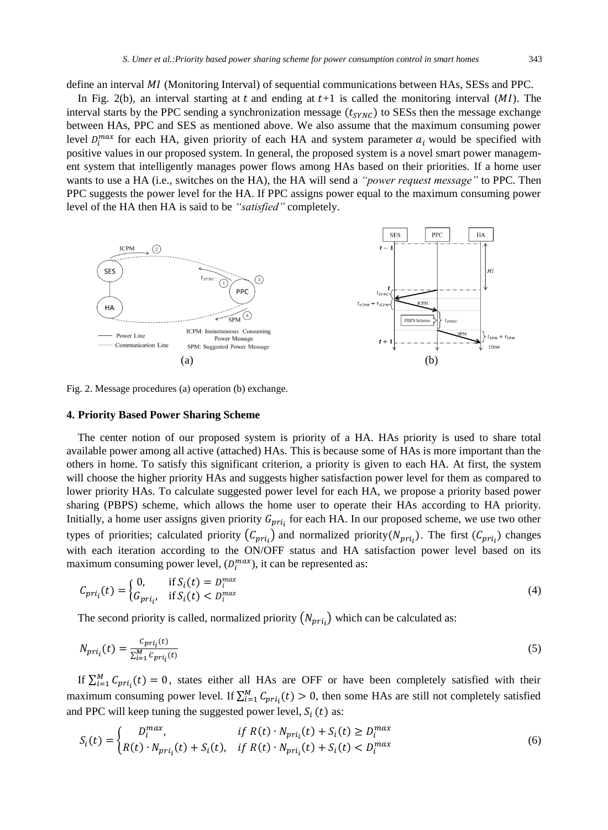define an interval MI (Monitoring Interval) of sequential communications between HAs, SESs and PPC.

In Fig. 2(b), an interval starting at t and ending at  $t+1$  is called the monitoring interval  $(MI)$ . The interval starts by the PPC sending a synchronization message  $(t_{SYNC})$  to SESs then the message exchange between HAs, PPC and SES as mentioned above. We also assume that the maximum consuming power level  $D_i^{max}$  for each HA, given priority of each HA and system parameter  $a_i$  would be specified with positive values in our proposed system. In general, the proposed system is a novel smart power management system that intelligently manages power flows among HAs based on their priorities. If a home user wants to use a HA (i.e., switches on the HA), the HA will send a *"power request message"* to PPC. Then PPC suggests the power level for the HA. If PPC assigns power equal to the maximum consuming power level of the HA then HA is said to be *"satisfied"* completely.



Fig. 2. Message procedures (a) operation (b) exchange.

#### **4. Priority Based Power Sharing Scheme**

The center notion of our proposed system is priority of a HA. HAs priority is used to share total available power among all active (attached) HAs. This is because some of HAs is more important than the others in home. To satisfy this significant criterion, a priority is given to each HA. At first, the system will choose the higher priority HAs and suggests higher satisfaction power level for them as compared to lower priority HAs. To calculate suggested power level for each HA, we propose a priority based power sharing (PBPS) scheme, which allows the home user to operate their HAs according to HA priority. Initially, a home user assigns given priority  $G_{pri}$ , for each HA. In our proposed scheme, we use two other types of priorities; calculated priority  $(C_{nri} )$  and normalized priority  $(N_{nri} )$ . The first  $(C_{nri} )$  changes with each iteration according to the ON/OFF status and HA satisfaction power level based on its maximum consuming power level,  $(D_i^{max})$ , it can be represented as:

$$
C_{pri_i}(t) = \begin{cases} 0, & \text{if } S_i(t) = D_i^{max} \\ G_{pri_i}, & \text{if } S_i(t) < D_i^{max} \end{cases} \tag{4}
$$

The second priority is called, normalized priority  $(N_{\text{pri}})$  which can be calculated as:

$$
N_{pri_i}(t) = \frac{c_{pri_i}(t)}{\sum_{i=1}^{M} c_{pri_i}(t)}
$$
(5)

If  $\sum_{i=1}^{M} C_{pri_i}(t) = 0$ , states either all HAs are OFF or have been completely satisfied with their maximum consuming power level. If  $\sum_{i=1}^{M} C_{pri_i}(t) > 0$ , then some HAs are still not completely satisfied and PPC will keep tuning the suggested power level,  $S_i(t)$  as:

$$
S_i(t) = \begin{cases} D_i^{max}, & \text{if } R(t) \cdot N_{pri_i}(t) + S_i(t) \ge D_i^{max} \\ R(t) \cdot N_{pri_i}(t) + S_i(t), & \text{if } R(t) \cdot N_{pri_i}(t) + S_i(t) < D_i^{max} \end{cases} \tag{6}
$$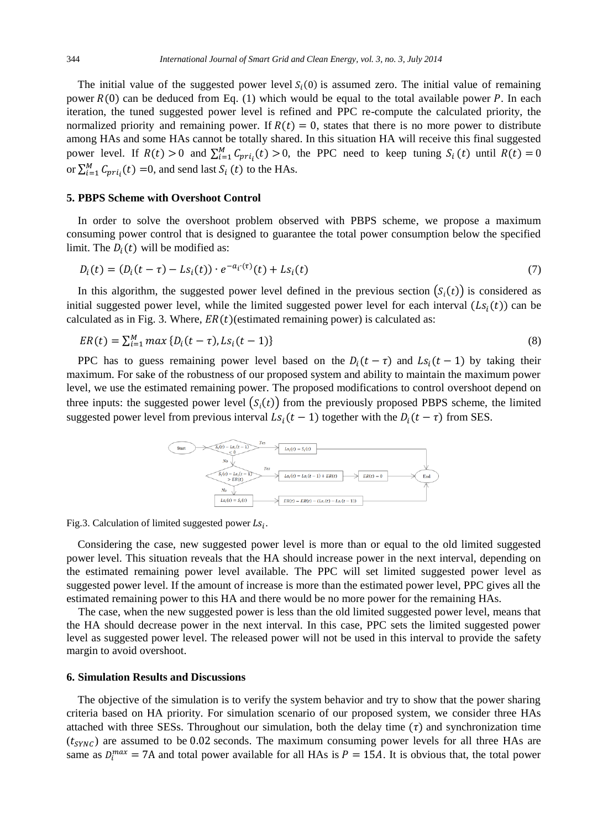The initial value of the suggested power level  $S_i(0)$  is assumed zero. The initial value of remaining power  $R(0)$  can be deduced from Eq. (1) which would be equal to the total available power P. In each iteration, the tuned suggested power level is refined and PPC re-compute the calculated priority, the normalized priority and remaining power. If  $R(t) = 0$ , states that there is no more power to distribute among HAs and some HAs cannot be totally shared. In this situation HA will receive this final suggested power level. If  $R(t) > 0$  and  $\sum_{i=1}^{M} C_{pri_i}(t) > 0$ , the PPC need to keep tuning  $S_i(t)$  until  $R(t) = 0$ or  $\sum_{i=1}^{M} C_{pri_i}(t) = 0$ , and send last  $S_i(t)$  to the HAs.

### **5. PBPS Scheme with Overshoot Control**

In order to solve the overshoot problem observed with PBPS scheme, we propose a maximum consuming power control that is designed to guarantee the total power consumption below the specified limit. The  $D_i(t)$  will be modified as:

$$
D_i(t) = (D_i(t - \tau) - Ls_i(t)) \cdot e^{-a_i(\tau)}(t) + Ls_i(t)
$$
\n(7)

In this algorithm, the suggested power level defined in the previous section  $(S_i(t))$  is considered as initial suggested power level, while the limited suggested power level for each interval  $(Ls_i(t))$  can be calculated as in Fig. 3. Where,  $ER(t)$  (estimated remaining power) is calculated as:

$$
ER(t) = \sum_{i=1}^{M} \max \{ D_i(t-\tau), Ls_i(t-1) \}
$$
\n(8)

PPC has to guess remaining power level based on the  $D_i(t-\tau)$  and  $Ls_i(t-1)$  by taking their maximum. For sake of the robustness of our proposed system and ability to maintain the maximum power level, we use the estimated remaining power. The proposed modifications to control overshoot depend on three inputs: the suggested power level  $(S<sub>i</sub>(t))$  from the previously proposed PBPS scheme, the limited suggested power level from previous interval  $Ls_i(t-1)$  together with the  $D_i(t-\tau)$  from SES.



Fig.3. Calculation of limited suggested power  $Ls_i$ .

Considering the case, new suggested power level is more than or equal to the old limited suggested power level. This situation reveals that the HA should increase power in the next interval, depending on the estimated remaining power level available. The PPC will set limited suggested power level as suggested power level. If the amount of increase is more than the estimated power level, PPC gives all the estimated remaining power to this HA and there would be no more power for the remaining HAs.

The case, when the new suggested power is less than the old limited suggested power level, means that the HA should decrease power in the next interval. In this case, PPC sets the limited suggested power level as suggested power level. The released power will not be used in this interval to provide the safety margin to avoid overshoot.

### **6. Simulation Results and Discussions**

The objective of the simulation is to verify the system behavior and try to show that the power sharing criteria based on HA priority. For simulation scenario of our proposed system, we consider three HAs attached with three SESs. Throughout our simulation, both the delay time  $(\tau)$  and synchronization time  $(t_{\text{SYNC}})$  are assumed to be 0.02 seconds. The maximum consuming power levels for all three HAs are same as  $D_i^{max} = 7A$  and total power available for all HAs is  $P = 15A$ . It is obvious that, the total power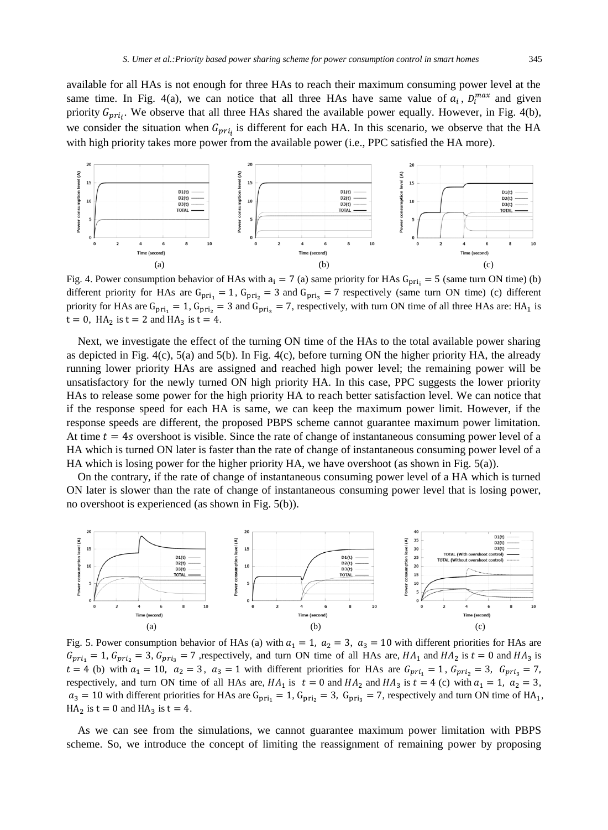available for all HAs is not enough for three HAs to reach their maximum consuming power level at the same time. In Fig. 4(a), we can notice that all three HAs have same value of  $a_i$ ,  $D_i^{max}$  and given priority  $G_{prii}$ . We observe that all three HAs shared the available power equally. However, in Fig. 4(b), we consider the situation when  $G_{\text{pri}}$  is different for each HA. In this scenario, we observe that the HA with high priority takes more power from the available power (i.e., PPC satisfied the HA more).



Fig. 4. Power consumption behavior of HAs with  $a_i = 7$  (a) same priority for HAs  $G_{pri_i} = 5$  (same turn ON time) (b) different priority for HAs are  $G_{\text{pri}_1} = 1$ ,  $G_{\text{pri}_2} = 3$  and  $G_{\text{pri}_3} = 7$  respectively (same turn ON time) (c) different priority for HAs are  $G_{pri_1} = 1$ ,  $G_{pri_2} = 3$  and  $G_{pri_3} = 7$ , respectively, with turn ON time of all three HAs are: HA<sub>1</sub> is  $t = 0$ , HA<sub>2</sub> is  $t = 2$  and HA<sub>3</sub> is  $t = 4$ .

Next, we investigate the effect of the turning ON time of the HAs to the total available power sharing as depicted in Fig.  $4(c)$ ,  $5(a)$  and  $5(b)$ . In Fig.  $4(c)$ , before turning ON the higher priority HA, the already running lower priority HAs are assigned and reached high power level; the remaining power will be unsatisfactory for the newly turned ON high priority HA. In this case, PPC suggests the lower priority HAs to release some power for the high priority HA to reach better satisfaction level. We can notice that if the response speed for each HA is same, we can keep the maximum power limit. However, if the response speeds are different, the proposed PBPS scheme cannot guarantee maximum power limitation. At time  $t = 4s$  overshoot is visible. Since the rate of change of instantaneous consuming power level of a HA which is turned ON later is faster than the rate of change of instantaneous consuming power level of a HA which is losing power for the higher priority HA, we have overshoot (as shown in Fig.  $5(a)$ ).

On the contrary, if the rate of change of instantaneous consuming power level of a HA which is turned ON later is slower than the rate of change of instantaneous consuming power level that is losing power, no overshoot is experienced (as shown in Fig. 5(b)).



Fig. 5. Power consumption behavior of HAs (a) with  $a_1 = 1$ ,  $a_2 = 3$ ,  $a_3 = 10$  with different priorities for HAs are  $G_{pri_1} = 1$ ,  $G_{pri_2} = 3$ ,  $G_{pri_3} = 7$ , respectively, and turn ON time of all HAs are,  $HA_1$  and  $HA_2$  is  $t = 0$  and  $HA_3$  is  $t = 4$  (b) with  $a_1 = 10$ ,  $a_2 = 3$ ,  $a_3 = 1$  with different priorities for HAs are  $G_{pri_1} = 1$ ,  $G_{pri_2} = 3$ ,  $G_{pri_3} = 7$ , respectively, and turn ON time of all HAs are,  $HA_1$  is  $t = 0$  and  $HA_2$  and  $HA_3$  is  $t = 4$  (c) with  $a_1 = 1$ ,  $a_2 = 3$ ,  $a_3 = 10$  with different priorities for HAs are  $G_{\text{pri}_1} = 1$ ,  $G_{\text{pri}_2} = 3$ ,  $G_{\text{pri}_3} = 7$ , respectively and turn ON time of HA<sub>1</sub>,  $HA_2$  is  $t = 0$  and  $HA_3$  is  $t = 4$ .

As we can see from the simulations, we cannot guarantee maximum power limitation with PBPS scheme. So, we introduce the concept of limiting the reassignment of remaining power by proposing